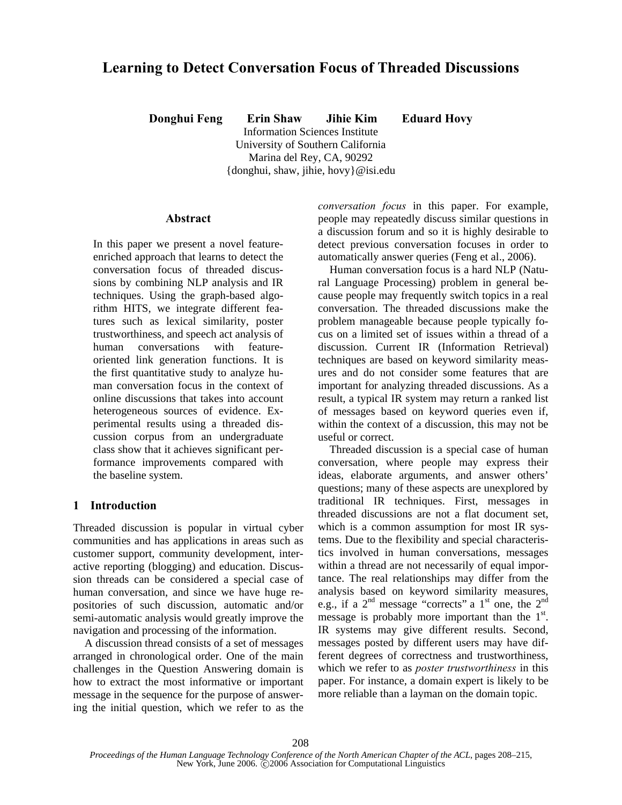# **Learning to Detect Conversation Focus of Threaded Discussions**

**Donghui Feng Erin Shaw Jihie Kim Eduard Hovy**

Information Sciences Institute University of Southern California Marina del Rey, CA, 90292 {donghui, shaw, jihie, hovy}@isi.edu

## **Abstract**

In this paper we present a novel featureenriched approach that learns to detect the conversation focus of threaded discussions by combining NLP analysis and IR techniques. Using the graph-based algorithm HITS, we integrate different features such as lexical similarity, poster trustworthiness, and speech act analysis of human conversations with featureoriented link generation functions. It is the first quantitative study to analyze human conversation focus in the context of online discussions that takes into account heterogeneous sources of evidence. Experimental results using a threaded discussion corpus from an undergraduate class show that it achieves significant performance improvements compared with the baseline system.

## **1 Introduction**

Threaded discussion is popular in virtual cyber communities and has applications in areas such as customer support, community development, interactive reporting (blogging) and education. Discussion threads can be considered a special case of human conversation, and since we have huge repositories of such discussion, automatic and/or semi-automatic analysis would greatly improve the navigation and processing of the information.

A discussion thread consists of a set of messages arranged in chronological order. One of the main challenges in the Question Answering domain is how to extract the most informative or important message in the sequence for the purpose of answering the initial question, which we refer to as the *conversation focus* in this paper. For example, people may repeatedly discuss similar questions in a discussion forum and so it is highly desirable to detect previous conversation focuses in order to automatically answer queries (Feng et al., 2006).

Human conversation focus is a hard NLP (Natural Language Processing) problem in general because people may frequently switch topics in a real conversation. The threaded discussions make the problem manageable because people typically focus on a limited set of issues within a thread of a discussion. Current IR (Information Retrieval) techniques are based on keyword similarity measures and do not consider some features that are important for analyzing threaded discussions. As a result, a typical IR system may return a ranked list of messages based on keyword queries even if, within the context of a discussion, this may not be useful or correct.

Threaded discussion is a special case of human conversation, where people may express their ideas, elaborate arguments, and answer others' questions; many of these aspects are unexplored by traditional IR techniques. First, messages in threaded discussions are not a flat document set, which is a common assumption for most IR systems. Due to the flexibility and special characteristics involved in human conversations, messages within a thread are not necessarily of equal importance. The real relationships may differ from the analysis based on keyword similarity measures, e.g., if a  $2<sup>nd</sup>$  message "corrects" a  $1<sup>st</sup>$  one, the  $2<sup>nd</sup>$ message is probably more important than the  $1<sup>st</sup>$ . IR systems may give different results. Second, messages posted by different users may have different degrees of correctness and trustworthiness, which we refer to as *poster trustworthiness* in this paper. For instance, a domain expert is likely to be more reliable than a layman on the domain topic.

*Proceedings of the Human Language Technology Conference of the North American Chapter of the ACL*, pages 208–215, New York, June 2006. C 2006 Association for Computational Linguistics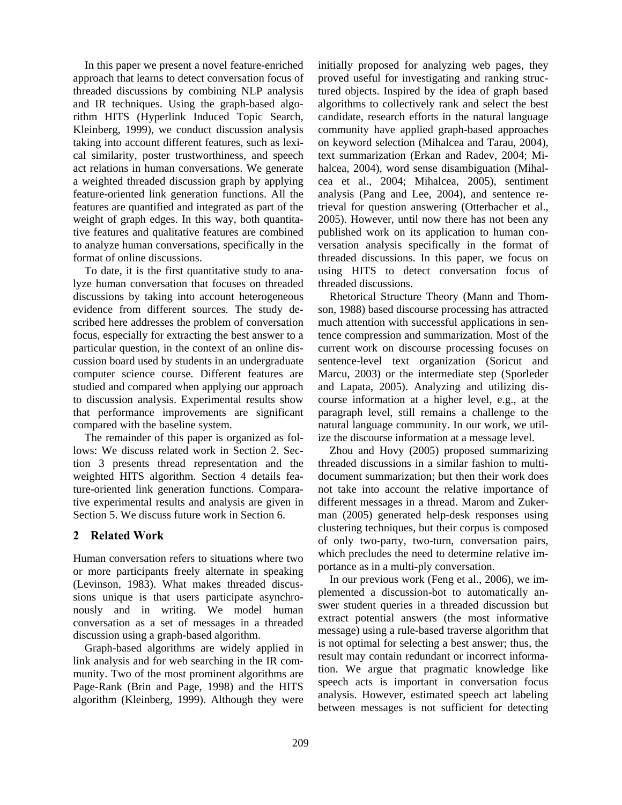In this paper we present a novel feature-enriched approach that learns to detect conversation focus of threaded discussions by combining NLP analysis and IR techniques. Using the graph-based algorithm HITS (Hyperlink Induced Topic Search, Kleinberg, 1999), we conduct discussion analysis taking into account different features, such as lexical similarity, poster trustworthiness, and speech act relations in human conversations. We generate a weighted threaded discussion graph by applying feature-oriented link generation functions. All the features are quantified and integrated as part of the weight of graph edges. In this way, both quantitative features and qualitative features are combined to analyze human conversations, specifically in the format of online discussions.

To date, it is the first quantitative study to analyze human conversation that focuses on threaded discussions by taking into account heterogeneous evidence from different sources. The study described here addresses the problem of conversation focus, especially for extracting the best answer to a particular question, in the context of an online discussion board used by students in an undergraduate computer science course. Different features are studied and compared when applying our approach to discussion analysis. Experimental results show that performance improvements are significant compared with the baseline system.

The remainder of this paper is organized as follows: We discuss related work in Section 2. Section 3 presents thread representation and the weighted HITS algorithm. Section 4 details feature-oriented link generation functions. Comparative experimental results and analysis are given in Section 5. We discuss future work in Section 6.

## **2 Related Work**

Human conversation refers to situations where two or more participants freely alternate in speaking (Levinson, 1983). What makes threaded discussions unique is that users participate asynchronously and in writing. We model human conversation as a set of messages in a threaded discussion using a graph-based algorithm.

Graph-based algorithms are widely applied in link analysis and for web searching in the IR community. Two of the most prominent algorithms are Page-Rank (Brin and Page, 1998) and the HITS algorithm (Kleinberg, 1999). Although they were initially proposed for analyzing web pages, they proved useful for investigating and ranking structured objects. Inspired by the idea of graph based algorithms to collectively rank and select the best candidate, research efforts in the natural language community have applied graph-based approaches on keyword selection (Mihalcea and Tarau, 2004), text summarization (Erkan and Radev, 2004; Mihalcea, 2004), word sense disambiguation (Mihalcea et al., 2004; Mihalcea, 2005), sentiment analysis (Pang and Lee, 2004), and sentence retrieval for question answering (Otterbacher et al., 2005). However, until now there has not been any published work on its application to human conversation analysis specifically in the format of threaded discussions. In this paper, we focus on using HITS to detect conversation focus of threaded discussions.

Rhetorical Structure Theory (Mann and Thomson, 1988) based discourse processing has attracted much attention with successful applications in sentence compression and summarization. Most of the current work on discourse processing focuses on sentence-level text organization (Soricut and Marcu, 2003) or the intermediate step (Sporleder and Lapata, 2005). Analyzing and utilizing discourse information at a higher level, e.g., at the paragraph level, still remains a challenge to the natural language community. In our work, we utilize the discourse information at a message level.

Zhou and Hovy (2005) proposed summarizing threaded discussions in a similar fashion to multidocument summarization; but then their work does not take into account the relative importance of different messages in a thread. Marom and Zukerman (2005) generated help-desk responses using clustering techniques, but their corpus is composed of only two-party, two-turn, conversation pairs, which precludes the need to determine relative importance as in a multi-ply conversation.

In our previous work (Feng et al., 2006), we implemented a discussion-bot to automatically answer student queries in a threaded discussion but extract potential answers (the most informative message) using a rule-based traverse algorithm that is not optimal for selecting a best answer; thus, the result may contain redundant or incorrect information. We argue that pragmatic knowledge like speech acts is important in conversation focus analysis. However, estimated speech act labeling between messages is not sufficient for detecting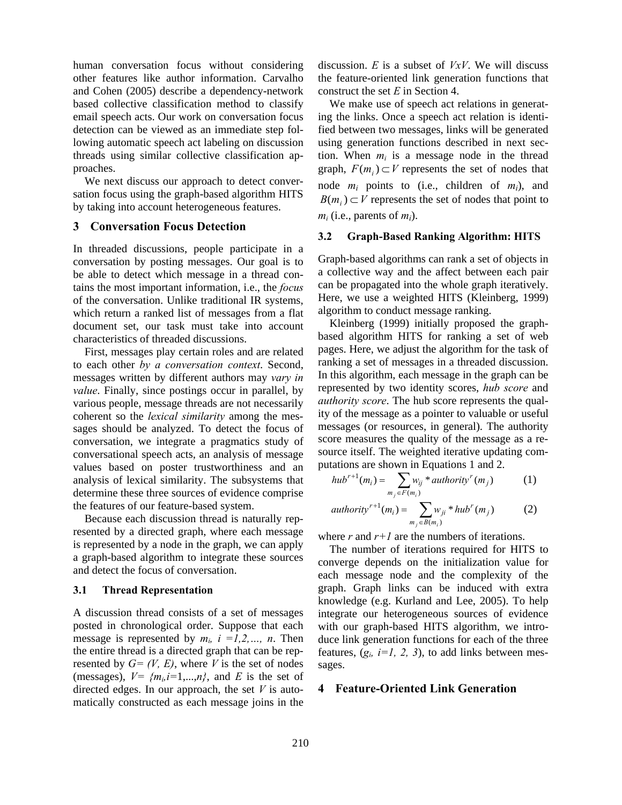human conversation focus without considering other features like author information. Carvalho and Cohen (2005) describe a dependency-network based collective classification method to classify email speech acts. Our work on conversation focus detection can be viewed as an immediate step following automatic speech act labeling on discussion threads using similar collective classification approaches.

We next discuss our approach to detect conversation focus using the graph-based algorithm HITS by taking into account heterogeneous features.

## **3 Conversation Focus Detection**

In threaded discussions, people participate in a conversation by posting messages. Our goal is to be able to detect which message in a thread contains the most important information, i.e., the *focus* of the conversation. Unlike traditional IR systems, which return a ranked list of messages from a flat document set, our task must take into account characteristics of threaded discussions.

First, messages play certain roles and are related to each other *by a conversation context*. Second, messages written by different authors may *vary in value*. Finally, since postings occur in parallel, by various people, message threads are not necessarily coherent so the *lexical similarity* among the messages should be analyzed. To detect the focus of conversation, we integrate a pragmatics study of conversational speech acts, an analysis of message values based on poster trustworthiness and an analysis of lexical similarity. The subsystems that determine these three sources of evidence comprise the features of our feature-based system.

Because each discussion thread is naturally represented by a directed graph, where each message is represented by a node in the graph, we can apply a graph-based algorithm to integrate these sources and detect the focus of conversation.

#### **3.1 Thread Representation**

A discussion thread consists of a set of messages posted in chronological order. Suppose that each message is represented by  $m_i$ ,  $i = 1, 2, \dots, n$ . Then the entire thread is a directed graph that can be represented by  $G = (V, E)$ , where V is the set of nodes (messages),  $V = \{m_i, i=1,\dots,n\}$ , and *E* is the set of directed edges. In our approach, the set *V* is automatically constructed as each message joins in the

discussion. *E* is a subset of *VxV*. We will discuss the feature-oriented link generation functions that construct the set *E* in Section 4.

We make use of speech act relations in generating the links. Once a speech act relation is identified between two messages, links will be generated using generation functions described in next section. When  $m_i$  is a message node in the thread graph,  $F(m_i) \subset V$  represents the set of nodes that node *mi* points to (i.e., children of *mi*), and  $B(m_i) \subset V$  represents the set of nodes that point to  $m_i$  (i.e., parents of  $m_i$ ).

#### **3.2 Graph-Based Ranking Algorithm: HITS**

Graph-based algorithms can rank a set of objects in a collective way and the affect between each pair can be propagated into the whole graph iteratively. Here, we use a weighted HITS (Kleinberg, 1999) algorithm to conduct message ranking.

Kleinberg (1999) initially proposed the graphbased algorithm HITS for ranking a set of web pages. Here, we adjust the algorithm for the task of ranking a set of messages in a threaded discussion. In this algorithm, each message in the graph can be represented by two identity scores, *hub score* and *authority score*. The hub score represents the quality of the message as a pointer to valuable or useful messages (or resources, in general). The authority score measures the quality of the message as a resource itself. The weighted iterative updating computations are shown in Equations 1 and 2.

$$
hub^{r+1}(m_i) = \sum_{m_j \in F(m_i)} w_{ij} * authority^{r}(m_j)
$$
 (1)  
authority<sup>r+1</sup>(m<sub>i</sub>) =  $\sum w_{ji} * hub^{r}(m_j)$  (2)

 $z^{i+1}(m_i) = \sum_{m_i \in B(i)}$  $(m_i)$  $m_j \in B(m_i)$ *j*

where  $r$  and  $r+1$  are the numbers of iterations.

The number of iterations required for HITS to converge depends on the initialization value for each message node and the complexity of the graph. Graph links can be induced with extra knowledge (e.g. Kurland and Lee, 2005). To help integrate our heterogeneous sources of evidence with our graph-based HITS algorithm, we introduce link generation functions for each of the three features,  $(g_i, i=1, 2, 3)$ , to add links between messages.

## **4 Feature-Oriented Link Generation**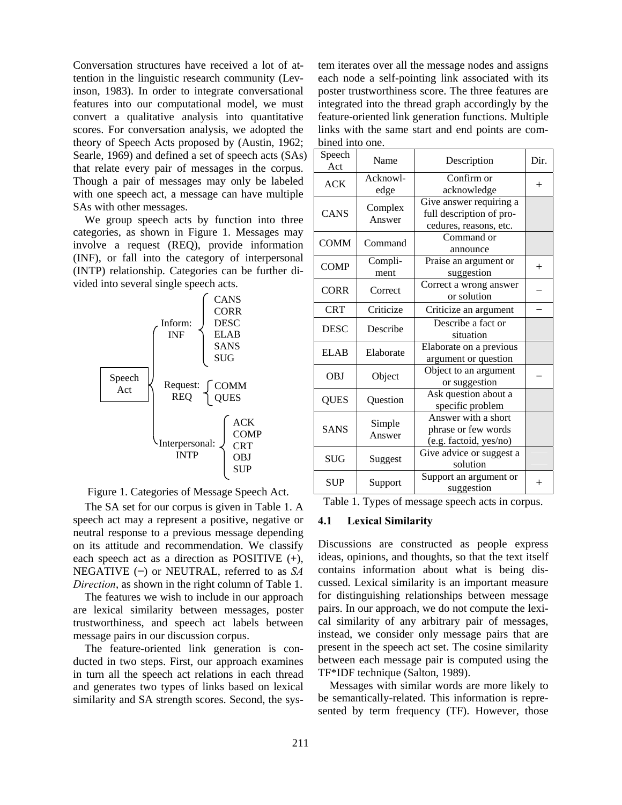Conversation structures have received a lot of attention in the linguistic research community (Levinson, 1983). In order to integrate conversational features into our computational model, we must convert a qualitative analysis into quantitative scores. For conversation analysis, we adopted the theory of Speech Acts proposed by (Austin, 1962; Searle, 1969) and defined a set of speech acts (SAs) that relate every pair of messages in the corpus. Though a pair of messages may only be labeled with one speech act, a message can have multiple SAs with other messages.

We group speech acts by function into three categories, as shown in Figure 1. Messages may involve a request (REQ), provide information (INF), or fall into the category of interpersonal (INTP) relationship. Categories can be further divided into several single speech acts.



Figure 1. Categories of Message Speech Act.

The SA set for our corpus is given in Table 1. A speech act may a represent a positive, negative or neutral response to a previous message depending on its attitude and recommendation. We classify each speech act as a direction as POSITIVE (+), NEGATIVE (**−**) or NEUTRAL, referred to as *SA Direction*, as shown in the right column of Table 1.

The features we wish to include in our approach are lexical similarity between messages, poster trustworthiness, and speech act labels between message pairs in our discussion corpus.

The feature-oriented link generation is conducted in two steps. First, our approach examines in turn all the speech act relations in each thread and generates two types of links based on lexical similarity and SA strength scores. Second, the system iterates over all the message nodes and assigns each node a self-pointing link associated with its poster trustworthiness score. The three features are integrated into the thread graph accordingly by the feature-oriented link generation functions. Multiple links with the same start and end points are combined into one.

| Speech<br>Act | Name              | Description                                                                   | Dir.           |
|---------------|-------------------|-------------------------------------------------------------------------------|----------------|
| <b>ACK</b>    | Acknowl-<br>edge  | Confirm or<br>acknowledge                                                     | $\overline{+}$ |
| CANS          | Complex<br>Answer | Give answer requiring a<br>full description of pro-<br>cedures, reasons, etc. |                |
| <b>COMM</b>   | Command           | Command or<br>announce                                                        |                |
| <b>COMP</b>   | Compli-<br>ment   | Praise an argument or<br>suggestion                                           | $^+$           |
| <b>CORR</b>   | Correct           | Correct a wrong answer<br>or solution                                         |                |
| CRT           | Criticize         | Criticize an argument                                                         |                |
| <b>DESC</b>   | Describe          | Describe a fact or<br>situation                                               |                |
| <b>ELAB</b>   | Elaborate         | Elaborate on a previous<br>argument or question                               |                |
| <b>OBJ</b>    | Object            | Object to an argument<br>or suggestion                                        |                |
| QUES          | Question          | Ask question about a<br>specific problem                                      |                |
| <b>SANS</b>   | Simple<br>Answer  | Answer with a short<br>phrase or few words<br>(e.g. factoid, yes/no)          |                |
| <b>SUG</b>    | Suggest           | Give advice or suggest a<br>solution                                          |                |
| <b>SUP</b>    | Support           | Support an argument or<br>suggestion                                          | $\,^+$         |

Table 1. Types of message speech acts in corpus.

## **4.1 Lexical Similarity**

Discussions are constructed as people express ideas, opinions, and thoughts, so that the text itself contains information about what is being discussed. Lexical similarity is an important measure for distinguishing relationships between message pairs. In our approach, we do not compute the lexical similarity of any arbitrary pair of messages, instead, we consider only message pairs that are present in the speech act set. The cosine similarity between each message pair is computed using the TF\*IDF technique (Salton, 1989).

Messages with similar words are more likely to be semantically-related. This information is represented by term frequency (TF). However, those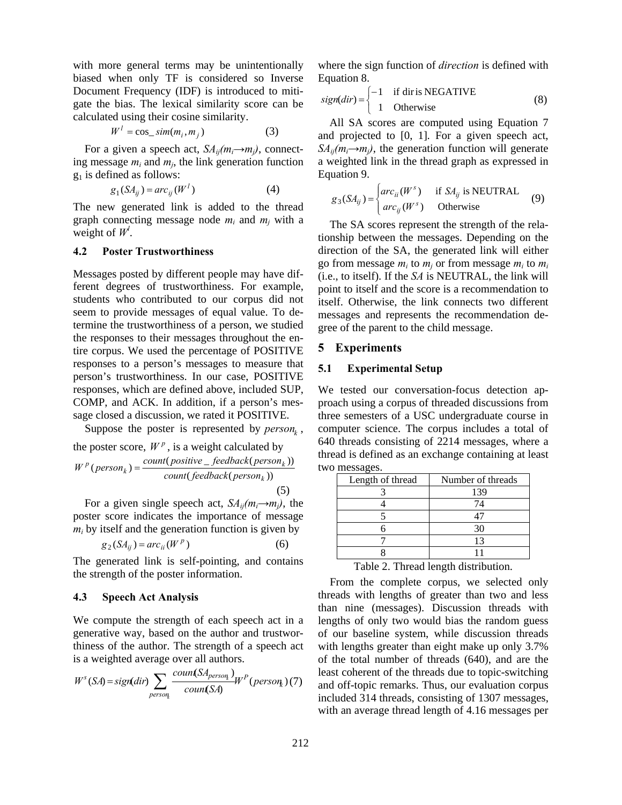with more general terms may be unintentionally biased when only TF is considered so Inverse Document Frequency (IDF) is introduced to mitigate the bias. The lexical similarity score can be calculated using their cosine similarity.

$$
W^l = \cos \sin(m_i, m_j) \tag{3}
$$

For a given a speech act,  $SA_{ii}(m_i \rightarrow m_i)$ , connecting message  $m_i$  and  $m_j$ , the link generation function  $g_1$  is defined as follows:

$$
g_1(SA_{ij}) = arc_{ij}(W^l)
$$
 (4)

The new generated link is added to the thread graph connecting message node  $m_i$  and  $m_j$  with a weight of  $W^l$ .

## **4.2 Poster Trustworthiness**

Messages posted by different people may have different degrees of trustworthiness. For example, students who contributed to our corpus did not seem to provide messages of equal value. To determine the trustworthiness of a person, we studied the responses to their messages throughout the entire corpus. We used the percentage of POSITIVE responses to a person's messages to measure that person's trustworthiness. In our case, POSITIVE responses, which are defined above, included SUP, COMP, and ACK. In addition, if a person's message closed a discussion, we rated it POSITIVE.

Suppose the poster is represented by  $person_k$ ,

the poster score, 
$$
W^p
$$
, is a weight calculated by  
\n
$$
W^p (person_k) = \frac{count (positive \_ feedback (person_k))}{count (feedback (person_k))}
$$
\n(5)

For a given single speech act,  $SA_{ii}(m_i \rightarrow m_i)$ , the poster score indicates the importance of message  $m_i$  by itself and the generation function is given by

$$
g_2(SA_{ij}) = arc_{ii}(W^p)
$$
 (6)

The generated link is self-pointing, and contains the strength of the poster information.

## **4.3 Speech Act Analysis**

We compute the strength of each speech act in a generative way, based on the author and trustworthiness of the author. The strength of a speech act is a weighted average over all authors.

$$
W^{s}(SA) = signdir \sum_{person_{k}} \frac{count(SA_{person_{k}})}{count(SA)} W^{P}(person_{k})(7)
$$

where the sign function of *direction* is defined with Equation 8.

$$
sign(div) = \begin{cases} -1 & \text{if dir is NEGATIVE} \\ 1 & \text{Otherwise} \end{cases}
$$
 (8)

All SA scores are computed using Equation 7 and projected to [0, 1]. For a given speech act,  $SA_{ii}(m_i \rightarrow m_i)$ , the generation function will generate a weighted link in the thread graph as expressed in Equation 9.

$$
g_3(SA_{ij}) = \begin{cases} arc_{ii}(W^s) & \text{if } SA_{ij} \text{ is NEUTRAL} \\ arc_{ij}(W^s) & \text{Otherwise} \end{cases}
$$
(9)

The SA scores represent the strength of the relationship between the messages. Depending on the direction of the SA, the generated link will either go from message  $m_i$  to  $m_j$  or from message  $m_i$  to  $m_i$ (i.e., to itself). If the *SA* is NEUTRAL, the link will point to itself and the score is a recommendation to itself. Otherwise, the link connects two different messages and represents the recommendation degree of the parent to the child message.

## **5 Experiments**

## **5.1 Experimental Setup**

We tested our conversation-focus detection approach using a corpus of threaded discussions from three semesters of a USC undergraduate course in computer science. The corpus includes a total of 640 threads consisting of 2214 messages, where a thread is defined as an exchange containing at least two messages.

| Length of thread | Number of threads |  |
|------------------|-------------------|--|
|                  | 139               |  |
|                  |                   |  |
|                  |                   |  |
|                  | 30                |  |
|                  | 13                |  |
|                  |                   |  |

Table 2. Thread length distribution.

From the complete corpus, we selected only threads with lengths of greater than two and less than nine (messages). Discussion threads with lengths of only two would bias the random guess of our baseline system, while discussion threads with lengths greater than eight make up only 3.7% of the total number of threads (640), and are the least coherent of the threads due to topic-switching and off-topic remarks. Thus, our evaluation corpus included 314 threads, consisting of 1307 messages, with an average thread length of 4.16 messages per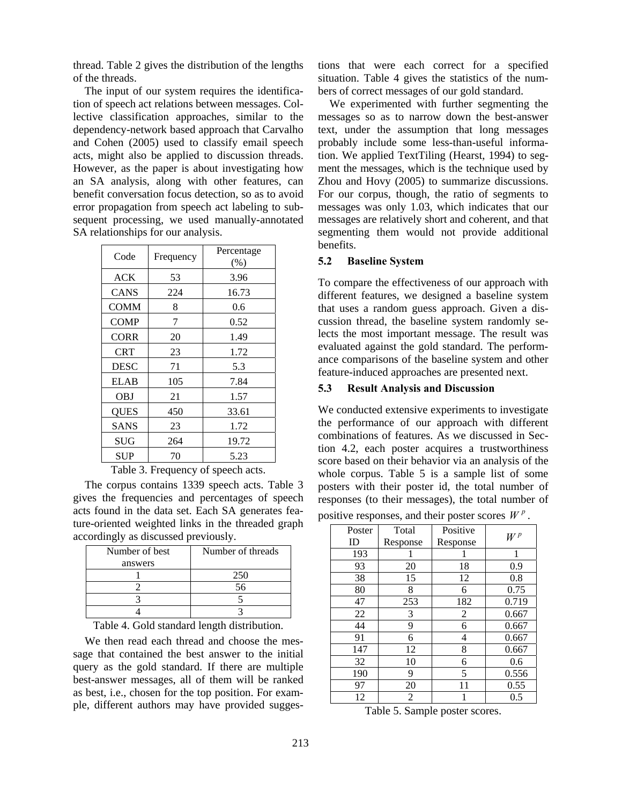thread. Table 2 gives the distribution of the lengths of the threads.

The input of our system requires the identification of speech act relations between messages. Collective classification approaches, similar to the dependency-network based approach that Carvalho and Cohen (2005) used to classify email speech acts, might also be applied to discussion threads. However, as the paper is about investigating how an SA analysis, along with other features, can benefit conversation focus detection, so as to avoid error propagation from speech act labeling to subsequent processing, we used manually-annotated SA relationships for our analysis.

| Code        | Frequency | Percentage<br>(% ) |  |
|-------------|-----------|--------------------|--|
| ACK         | 53        | 3.96               |  |
| <b>CANS</b> | 224       | 16.73              |  |
| <b>COMM</b> | 8         | 0.6                |  |
| <b>COMP</b> | 7         | 0.52               |  |
| <b>CORR</b> | 20        | 1.49               |  |
| CRT         | 23        | 1.72               |  |
| <b>DESC</b> | 71        | 5.3                |  |
| <b>ELAB</b> | 105       | 7.84               |  |
| OBJ         | 21        | 1.57               |  |
| <b>QUES</b> | 450       | 33.61              |  |
| <b>SANS</b> | 23        | 1.72               |  |
| SUG         | 264       | 19.72              |  |
| SUP         | 70        | 5.23               |  |

Table 3. Frequency of speech acts.

The corpus contains 1339 speech acts. Table 3 gives the frequencies and percentages of speech acts found in the data set. Each SA generates feature-oriented weighted links in the threaded graph accordingly as discussed previously.

| Number of best | Number of threads |  |
|----------------|-------------------|--|
| answers        |                   |  |
|                | 250               |  |
|                | 56                |  |
|                |                   |  |
|                |                   |  |

Table 4. Gold standard length distribution.

We then read each thread and choose the message that contained the best answer to the initial query as the gold standard. If there are multiple best-answer messages, all of them will be ranked as best, i.e., chosen for the top position. For example, different authors may have provided suggestions that were each correct for a specified situation. Table 4 gives the statistics of the numbers of correct messages of our gold standard.

We experimented with further segmenting the messages so as to narrow down the best-answer text, under the assumption that long messages probably include some less-than-useful information. We applied TextTiling (Hearst, 1994) to segment the messages, which is the technique used by Zhou and Hovy (2005) to summarize discussions. For our corpus, though, the ratio of segments to messages was only 1.03, which indicates that our messages are relatively short and coherent, and that segmenting them would not provide additional benefits.

## **5.2 Baseline System**

To compare the effectiveness of our approach with different features, we designed a baseline system that uses a random guess approach. Given a discussion thread, the baseline system randomly selects the most important message. The result was evaluated against the gold standard. The performance comparisons of the baseline system and other feature-induced approaches are presented next.

## **5.3 Result Analysis and Discussion**

We conducted extensive experiments to investigate the performance of our approach with different combinations of features. As we discussed in Section 4.2, each poster acquires a trustworthiness score based on their behavior via an analysis of the whole corpus. Table 5 is a sample list of some posters with their poster id, the total number of responses (to their messages), the total number of

positive responses, and their poster scores  $W^p$ .

| Poster | Total    | Positive       | $W^p$ |  |
|--------|----------|----------------|-------|--|
| ID     | Response | Response       |       |  |
| 193    |          |                |       |  |
| 93     | 20       | 18             | 0.9   |  |
| 38     | 15       | 12             | 0.8   |  |
| 80     | 8        | 6              | 0.75  |  |
| 47     | 253      | 182            | 0.719 |  |
| 22     | 3        | $\overline{2}$ | 0.667 |  |
| 44     | 9        | 6              | 0.667 |  |
| 91     | 6        | 4              | 0.667 |  |
| 147    | 12       | 8              | 0.667 |  |
| 32     | 10       | 6              | 0.6   |  |
| 190    | 9        | 5              | 0.556 |  |
| 97     | 20       | 11             | 0.55  |  |
| 12     | 2        |                | 0.5   |  |

Table 5. Sample poster scores.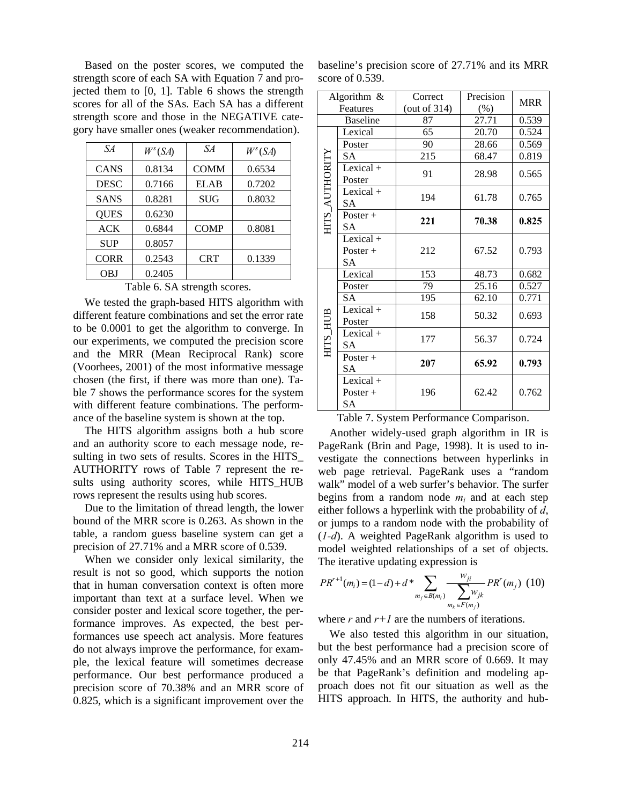Based on the poster scores, we computed the strength score of each SA with Equation 7 and projected them to [0, 1]. Table 6 shows the strength scores for all of the SAs. Each SA has a different strength score and those in the NEGATIVE category have smaller ones (weaker recommendation).

| SA          | $W^s(SA)$ | SA.         | $W^s(SA)$ |
|-------------|-----------|-------------|-----------|
| <b>CANS</b> | 0.8134    | <b>COMM</b> | 0.6534    |
| <b>DESC</b> | 0.7166    | <b>ELAB</b> | 0.7202    |
| <b>SANS</b> | 0.8281    | SUG         | 0.8032    |
| <b>OUES</b> | 0.6230    |             |           |
| ACK         | 0.6844    | <b>COMP</b> | 0.8081    |
| <b>SUP</b>  | 0.8057    |             |           |
| <b>CORR</b> | 0.2543    | <b>CRT</b>  | 0.1339    |
| OBJ         | 0.2405    |             |           |

Table 6. SA strength scores.

We tested the graph-based HITS algorithm with different feature combinations and set the error rate to be 0.0001 to get the algorithm to converge. In our experiments, we computed the precision score and the MRR (Mean Reciprocal Rank) score (Voorhees, 2001) of the most informative message chosen (the first, if there was more than one). Table 7 shows the performance scores for the system with different feature combinations. The performance of the baseline system is shown at the top.

The HITS algorithm assigns both a hub score and an authority score to each message node, resulting in two sets of results. Scores in the HITS AUTHORITY rows of Table 7 represent the results using authority scores, while HITS\_HUB rows represent the results using hub scores.

Due to the limitation of thread length, the lower bound of the MRR score is 0.263. As shown in the table, a random guess baseline system can get a precision of 27.71% and a MRR score of 0.539.

When we consider only lexical similarity, the result is not so good, which supports the notion that in human conversation context is often more important than text at a surface level. When we consider poster and lexical score together, the performance improves. As expected, the best performances use speech act analysis. More features do not always improve the performance, for example, the lexical feature will sometimes decrease performance. Our best performance produced a precision score of 70.38% and an MRR score of 0.825, which is a significant improvement over the

baseline's precision score of 27.71% and its MRR score of 0.539.

| Algorithm &<br>Features |                                        | Correct<br>(out of $314$ ) | Precision<br>(% ) | <b>MRR</b> |
|-------------------------|----------------------------------------|----------------------------|-------------------|------------|
| <b>Baseline</b>         |                                        | 87                         | 27.71             | 0.539      |
| HITS_AUTHORITY          | Lexical                                | 65                         | 20.70             | 0.524      |
|                         | Poster                                 | 90                         | 28.66             | 0.569      |
|                         | <b>SA</b>                              | 215                        | 68.47             | 0.819      |
|                         | Lexical $+$<br>Poster                  | 91                         | 28.98             | 0.565      |
|                         | Lexical $+$<br><b>SA</b>               | 194                        | 61.78             | 0.765      |
|                         | Poster $+$<br>SА                       | 221                        | 70.38             | 0.825      |
|                         | Lexical $+$<br>Poster $+$<br><b>SA</b> | 212                        | 67.52             | 0.793      |
|                         | Lexical                                | 153                        | 48.73             | 0.682      |
|                         | Poster                                 | 79                         | 25.16             | 0.527      |
| HTS_HUB                 | <b>SA</b>                              | 195                        | 62.10             | 0.771      |
|                         | Lexical $+$<br>Poster                  | 158                        | 50.32             | 0.693      |
|                         | Lexical $+$<br>SА                      | 177                        | 56.37             | 0.724      |
|                         | Poster $+$<br>SА                       | 207                        | 65.92             | 0.793      |
|                         | Lexical $+$<br>Poster $+$<br>SА        | 196                        | 62.42             | 0.762      |

Table 7. System Performance Comparison.

Another widely-used graph algorithm in IR is PageRank (Brin and Page, 1998). It is used to investigate the connections between hyperlinks in web page retrieval. PageRank uses a "random walk" model of a web surfer's behavior. The surfer begins from a random node  $m_i$  and at each step either follows a hyperlink with the probability of *d*, or jumps to a random node with the probability of (*1-d*). A weighted PageRank algorithm is used to model weighted relationships of a set of objects. The iterative updating expression is

$$
PR^{r+1}(m_i) = (1-d) + d^* \sum_{m_j \in B(m_i)} \frac{w_{ji}}{\sum_{m_k \in F(m_j)} w_{jk}} PR^r(m_j) \tag{10}
$$

where  $r$  and  $r+1$  are the numbers of iterations.

We also tested this algorithm in our situation, but the best performance had a precision score of only 47.45% and an MRR score of 0.669. It may be that PageRank's definition and modeling approach does not fit our situation as well as the HITS approach. In HITS, the authority and hub